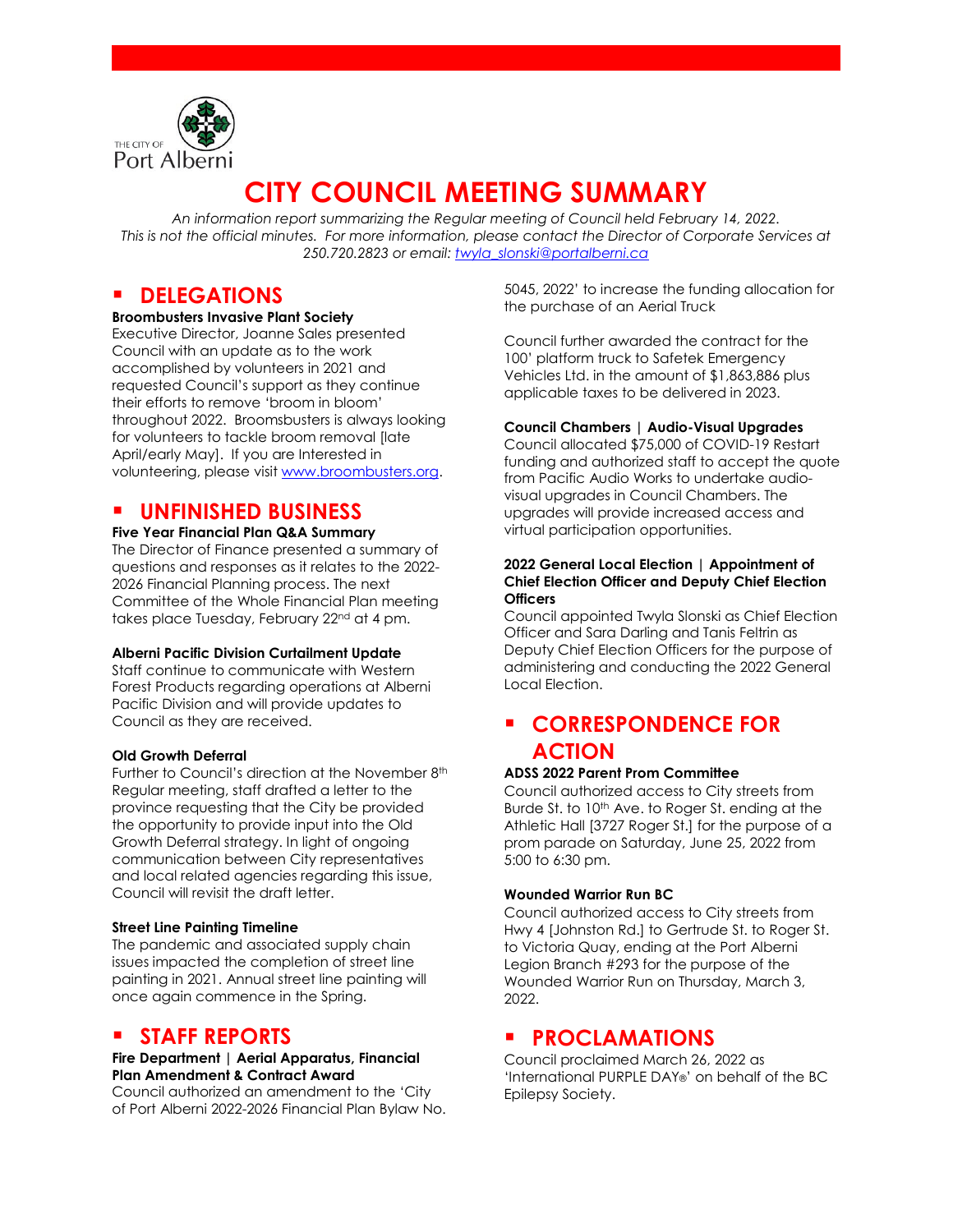

# **CITY COUNCIL MEETING SUMMARY**

*An information report summarizing the Regular meeting of Council held February 14, 2022. This is not the official minutes. For more information, please contact the Director of Corporate Services at 250.720.2823 or email: [twyla\\_slonski@portalberni.ca](mailto:twyla_slonski@portalberni.ca)*

### **P** DELEGATIONS

#### **Broombusters Invasive Plant Society**

Executive Director, Joanne Sales presented Council with an update as to the work accomplished by volunteers in 2021 and requested Council's support as they continue their efforts to remove 'broom in bloom' throughout 2022. Broomsbusters is always looking for volunteers to tackle broom removal [late April/early May]. If you are Interested in volunteering, please visit [www.broombusters.org.](http://www.broombusters.org/)

### **UNFINISHED BUSINESS**

#### **Five Year Financial Plan Q&A Summary**

The Director of Finance presented a summary of questions and responses as it relates to the 2022- 2026 Financial Planning process. The next Committee of the Whole Financial Plan meeting takes place Tuesday, February 22<sup>nd</sup> at 4 pm.

#### **Alberni Pacific Division Curtailment Update**

Staff continue to communicate with Western Forest Products regarding operations at Alberni Pacific Division and will provide updates to Council as they are received.

#### **Old Growth Deferral**

Further to Council's direction at the November 8<sup>th</sup> Regular meeting, staff drafted a letter to the province requesting that the City be provided the opportunity to provide input into the Old Growth Deferral strategy. In light of ongoing communication between City representatives and local related agencies regarding this issue, Council will revisit the draft letter.

#### **Street Line Painting Timeline**

The pandemic and associated supply chain issues impacted the completion of street line painting in 2021. Annual street line painting will once again commence in the Spring.

### **STAFF REPORTS**

#### **Fire Department | Aerial Apparatus, Financial Plan Amendment & Contract Award**

Council authorized an amendment to the 'City of Port Alberni 2022-2026 Financial Plan Bylaw No. 5045, 2022' to increase the funding allocation for the purchase of an Aerial Truck

Council further awarded the contract for the 100' platform truck to Safetek Emergency Vehicles Ltd. in the amount of \$1,863,886 plus applicable taxes to be delivered in 2023.

#### **Council Chambers | Audio-Visual Upgrades**

Council allocated \$75,000 of COVID-19 Restart funding and authorized staff to accept the quote from Pacific Audio Works to undertake audiovisual upgrades in Council Chambers. The upgrades will provide increased access and virtual participation opportunities.

#### **2022 General Local Election | Appointment of Chief Election Officer and Deputy Chief Election Officers**

Council appointed Twyla Slonski as Chief Election Officer and Sara Darling and Tanis Feltrin as Deputy Chief Election Officers for the purpose of administering and conducting the 2022 General Local Election.

## **CORRESPONDENCE FOR ACTION**

#### **ADSS 2022 Parent Prom Committee**

Council authorized access to City streets from Burde St. to 10<sup>th</sup> Ave. to Roger St. ending at the Athletic Hall [3727 Roger St.] for the purpose of a prom parade on Saturday, June 25, 2022 from 5:00 to 6:30 pm.

#### **Wounded Warrior Run BC**

Council authorized access to City streets from Hwy 4 [Johnston Rd.] to Gertrude St. to Roger St. to Victoria Quay, ending at the Port Alberni Legion Branch #293 for the purpose of the Wounded Warrior Run on Thursday, March 3, 2022.

### **PROCLAMATIONS**

Council proclaimed March 26, 2022 as 'International PURPLE DAY®' on behalf of the BC Epilepsy Society.